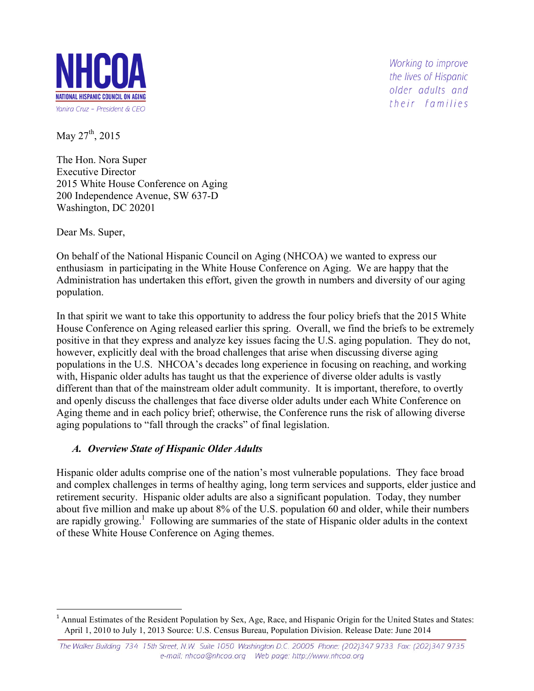

Working to improve the lives of Hispanic older adults and their families

May 27<sup>th</sup>, 2015

The Hon. Nora Super Executive Director 2015 White House Conference on Aging 200 Independence Avenue, SW 637-D Washington, DC 20201

Dear Ms. Super,

On behalf of the National Hispanic Council on Aging (NHCOA) we wanted to express our enthusiasm in participating in the White House Conference on Aging. We are happy that the Administration has undertaken this effort, given the growth in numbers and diversity of our aging population.

In that spirit we want to take this opportunity to address the four policy briefs that the 2015 White House Conference on Aging released earlier this spring. Overall, we find the briefs to be extremely positive in that they express and analyze key issues facing the U.S. aging population. They do not, however, explicitly deal with the broad challenges that arise when discussing diverse aging populations in the U.S. NHCOA's decades long experience in focusing on reaching, and working with, Hispanic older adults has taught us that the experience of diverse older adults is vastly different than that of the mainstream older adult community. It is important, therefore, to overtly and openly discuss the challenges that face diverse older adults under each White Conference on Aging theme and in each policy brief; otherwise, the Conference runs the risk of allowing diverse aging populations to "fall through the cracks" of final legislation.

#### *A. Overview State of Hispanic Older Adults*

Hispanic older adults comprise one of the nation's most vulnerable populations. They face broad and complex challenges in terms of healthy aging, long term services and supports, elder justice and retirement security. Hispanic older adults are also a significant population. Today, they number about five million and make up about 8% of the U.S. population 60 and older, while their numbers are rapidly growing.<sup>1</sup> Following are summaries of the state of Hispanic older adults in the context of these White House Conference on Aging themes.

<sup>&</sup>lt;sup>1</sup> Annual Estimates of the Resident Population by Sex, Age, Race, and Hispanic Origin for the United States and States: April 1, 2010 to July 1, 2013 Source: U.S. Census Bureau, Population Division. Release Date: June 2014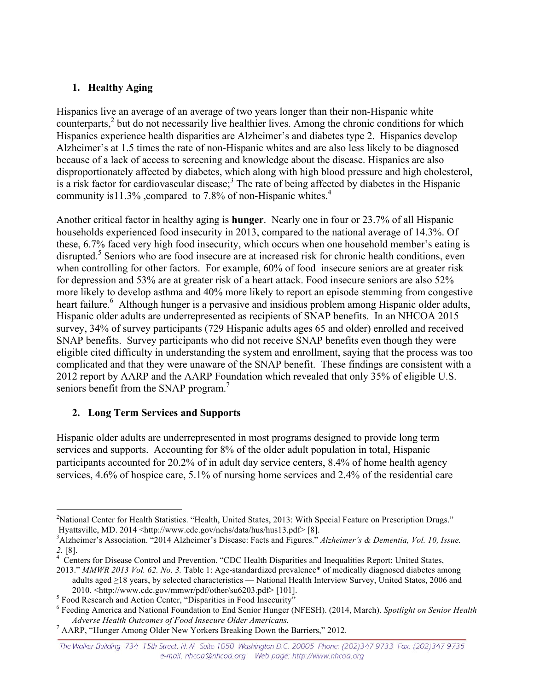## **1. Healthy Aging**

Hispanics live an average of an average of two years longer than their non-Hispanic white counterparts,<sup>2</sup> but do not necessarily live healthier lives. Among the chronic conditions for which Hispanics experience health disparities are Alzheimer's and diabetes type 2. Hispanics develop Alzheimer's at 1.5 times the rate of non-Hispanic whites and are also less likely to be diagnosed because of a lack of access to screening and knowledge about the disease. Hispanics are also disproportionately affected by diabetes, which along with high blood pressure and high cholesterol, is a risk factor for cardiovascular disease;<sup>3</sup> The rate of being affected by diabetes in the Hispanic community is 11.3%, compared to 7.8% of non-Hispanic whites.<sup>4</sup>

Another critical factor in healthy aging is **hunger**. Nearly one in four or 23.7% of all Hispanic households experienced food insecurity in 2013, compared to the national average of 14.3%. Of these, 6.7% faced very high food insecurity, which occurs when one household member's eating is disrupted.<sup>5</sup> Seniors who are food insecure are at increased risk for chronic health conditions, even when controlling for other factors. For example, 60% of food insecure seniors are at greater risk for depression and 53% are at greater risk of a heart attack. Food insecure seniors are also 52% more likely to develop asthma and 40% more likely to report an episode stemming from congestive heart failure.<sup>6</sup> Although hunger is a pervasive and insidious problem among Hispanic older adults, Hispanic older adults are underrepresented as recipients of SNAP benefits. In an NHCOA 2015 survey, 34% of survey participants (729 Hispanic adults ages 65 and older) enrolled and received SNAP benefits. Survey participants who did not receive SNAP benefits even though they were eligible cited difficulty in understanding the system and enrollment, saying that the process was too complicated and that they were unaware of the SNAP benefit. These findings are consistent with a 2012 report by AARP and the AARP Foundation which revealed that only 35% of eligible U.S. seniors benefit from the SNAP program.<sup>7</sup>

# **2. Long Term Services and Supports**

Hispanic older adults are underrepresented in most programs designed to provide long term services and supports. Accounting for 8% of the older adult population in total, Hispanic participants accounted for 20.2% of in adult day service centers, 8.4% of home health agency services, 4.6% of hospice care, 5.1% of nursing home services and 2.4% of the residential care

 $\frac{1}{2}$ <sup>2</sup>National Center for Health Statistics. "Health, United States, 2013: With Special Feature on Prescription Drugs." Hyattsville, MD. 2014 <http://www.cdc.gov/nchs/data/hus/hus13.pdf> [8].

<sup>3</sup> Alzheimer's Association. "2014 Alzheimer's Disease: Facts and Figures." *Alzheimer's & Dementia, Vol. 10, Issue.*  2. [8].

Centers for Disease Control and Prevention. "CDC Health Disparities and Inequalities Report: United States,

<sup>2013.&</sup>quot; *MMWR 2013 Vol. 62. No. 3.* Table 1: Age-standardized prevalence\* of medically diagnosed diabetes among adults aged ≥18 years, by selected characteristics — National Health Interview Survey, United States, 2006 and

<sup>2010. &</sup>lt;http://www.cdc.gov/mmwr/pdf/other/su6203.pdf> [101]. <sup>5</sup> Food Research and Action Center, "Disparities in Food Insecurity"

<sup>6</sup> Feeding America and National Foundation to End Senior Hunger (NFESH). (2014, March). *Spotlight on Senior Health Adverse Health Outcomes of Food Insecure Older Americans.* <sup>7</sup> AARP, "Hunger Among Older New Yorkers Breaking Down the Barriers," 2012.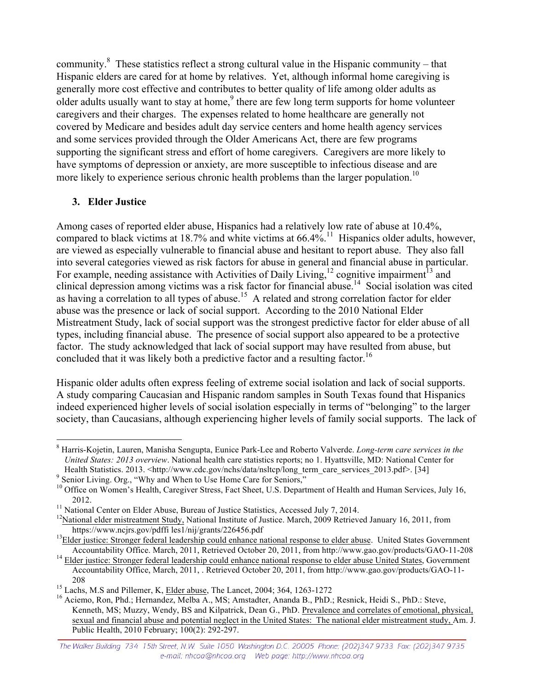community.<sup>8</sup> These statistics reflect a strong cultural value in the Hispanic community – that Hispanic elders are cared for at home by relatives. Yet, although informal home caregiving is generally more cost effective and contributes to better quality of life among older adults as older adults usually want to stay at home,<sup>9</sup> there are few long term supports for home volunteer caregivers and their charges. The expenses related to home healthcare are generally not covered by Medicare and besides adult day service centers and home health agency services and some services provided through the Older Americans Act, there are few programs supporting the significant stress and effort of home caregivers. Caregivers are more likely to have symptoms of depression or anxiety, are more susceptible to infectious disease and are more likely to experience serious chronic health problems than the larger population.<sup>10</sup>

## **3. Elder Justice**

Among cases of reported elder abuse, Hispanics had a relatively low rate of abuse at 10.4%, compared to black victims at 18.7% and white victims at  $66.4\%$ .<sup>11</sup> Hispanics older adults, however, are viewed as especially vulnerable to financial abuse and hesitant to report abuse. They also fall into several categories viewed as risk factors for abuse in general and financial abuse in particular. For example, needing assistance with Activities of Daily Living,<sup>12</sup> cognitive impairment<sup>13</sup> and clinical depression among victims was a risk factor for financial abuse.14 Social isolation was cited as having a correlation to all types of abuse.<sup>15</sup> A related and strong correlation factor for elder abuse was the presence or lack of social support. According to the 2010 National Elder Mistreatment Study, lack of social support was the strongest predictive factor for elder abuse of all types, including financial abuse. The presence of social support also appeared to be a protective factor. The study acknowledged that lack of social support may have resulted from abuse, but concluded that it was likely both a predictive factor and a resulting factor.<sup>16</sup>

Hispanic older adults often express feeling of extreme social isolation and lack of social supports. A study comparing Caucasian and Hispanic random samples in South Texas found that Hispanics indeed experienced higher levels of social isolation especially in terms of "belonging" to the larger society, than Caucasians, although experiencing higher levels of family social supports. The lack of

<sup>8</sup> Harris-Kojetin, Lauren, Manisha Sengupta, Eunice Park-Lee and Roberto Valverde. *Long-term care services in the United States: 2013 overview*. National health care statistics reports; no 1. Hyattsville, MD: National Center for Health Statistics. 2013. <http://www.cdc.gov/nchs/data/nsltcp/long\_term\_care\_services\_2013.pdf>. [34] 9 Senior Living. Org., "Why and When to Use Home Care for Seniors,"

<sup>&</sup>lt;sup>10</sup> Office on Women's Health, Caregiver Stress, Fact Sheet, U.S. Department of Health and Human Services, July 16, 2012.<br><sup>11</sup> National Center on Elder Abuse, Bureau of Justice Statistics, Accessed July 7, 2014.<br><sup>12</sup>National elder mistreatment Study, National Institute of Justice. March, 2009 Retrieved January 16, 2011, from

https://www.ncjrs.gov/pdffi les1/nij/grants/226456.pdf<br><sup>13</sup>Elder justice: Stronger federal leadership could enhance national response to elder abuse. United States Government

Accountability Office. March, 2011, Retrieved October 20, 2011, from http://www.gao.gov/products/GAO-11-208<sup>14</sup> Elder justice: Stronger federal leadership could enhance national response to elder abuse United States, Gover

Accountability Office, March, 2011, . Retrieved October 20, 2011, from http://www.gao.gov/products/GAO-11-

<sup>208&</sup>lt;br><sup>15</sup> Lachs, M.S and Pillemer, K, <u>Elder abuse</u>, The Lancet, 2004; 364, 1263-1272<br><sup>16</sup> Aciemo, Ron, Phd.; Hernandez, Melba A., MS; Amstadter, Ananda B., PhD.; Resnick, Heidi S., PhD.: Steve, Kenneth, MS; Muzzy, Wendy, BS and Kilpatrick, Dean G., PhD. Prevalence and correlates of emotional, physical, sexual and financial abuse and potential neglect in the United States: The national elder mistreatment study, Am. J. Public Health, 2010 February; 100(2): 292-297.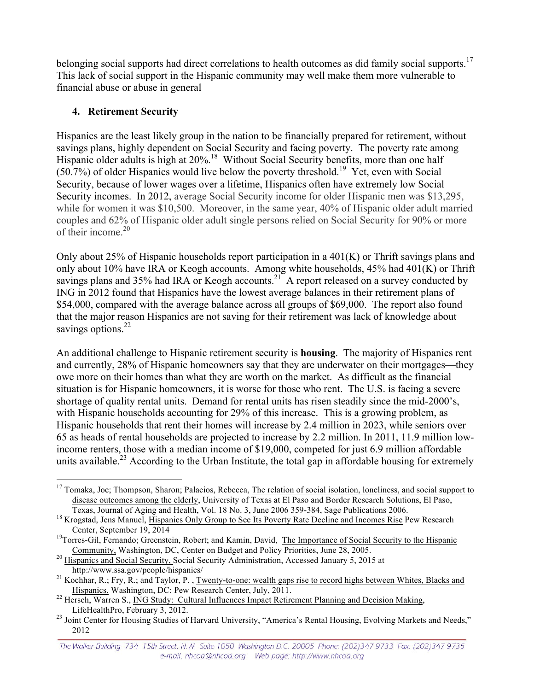belonging social supports had direct correlations to health outcomes as did family social supports.<sup>17</sup> This lack of social support in the Hispanic community may well make them more vulnerable to financial abuse or abuse in general

### **4. Retirement Security**

Hispanics are the least likely group in the nation to be financially prepared for retirement, without savings plans, highly dependent on Social Security and facing poverty. The poverty rate among Hispanic older adults is high at 20%.<sup>18</sup> Without Social Security benefits, more than one half  $(50.7%)$  of older Hispanics would live below the poverty threshold.<sup>19</sup> Yet, even with Social Security, because of lower wages over a lifetime, Hispanics often have extremely low Social Security incomes. In 2012, average Social Security income for older Hispanic men was \$13,295, while for women it was \$10,500. Moreover, in the same year, 40% of Hispanic older adult married couples and 62% of Hispanic older adult single persons relied on Social Security for 90% or more of their income. $20$ 

Only about 25% of Hispanic households report participation in a 401(K) or Thrift savings plans and only about 10% have IRA or Keogh accounts. Among white households, 45% had 401(K) or Thrift savings plans and 35% had IRA or Keogh accounts.<sup>21</sup> A report released on a survey conducted by ING in 2012 found that Hispanics have the lowest average balances in their retirement plans of \$54,000, compared with the average balance across all groups of \$69,000. The report also found that the major reason Hispanics are not saving for their retirement was lack of knowledge about savings options. $^{22}$ 

An additional challenge to Hispanic retirement security is **housing**. The majority of Hispanics rent and currently, 28% of Hispanic homeowners say that they are underwater on their mortgages—they owe more on their homes than what they are worth on the market. As difficult as the financial situation is for Hispanic homeowners, it is worse for those who rent. The U.S. is facing a severe shortage of quality rental units. Demand for rental units has risen steadily since the mid-2000's, with Hispanic households accounting for 29% of this increase. This is a growing problem, as Hispanic households that rent their homes will increase by 2.4 million in 2023, while seniors over 65 as heads of rental households are projected to increase by 2.2 million. In 2011, 11.9 million lowincome renters, those with a median income of \$19,000, competed for just 6.9 million affordable units available.<sup>23</sup> According to the Urban Institute, the total gap in affordable housing for extremely

<sup>20</sup> Hispanics and Social Security, Social Security Administration, Accessed January 5, 2015 at <sup>20</sup> Hispanics and Social Security, Social Security Administration, Accessed January 5, 2015 at

<sup>&</sup>lt;sup>17</sup> Tomaka, Joe; Thompson, Sharon; Palacios, Rebecca, The relation of social isolation, loneliness, and social support to disease outcomes among the elderly, University of Texas at El Paso and Border Research Solutions, El Paso,

Texas, Journal of Aging and Health, Vol. 18 No. 3, June 2006 359-384, Sage Publications 2006. <sup>18</sup> Krogstad, Jens Manuel, Hispanics Only Group to See Its Poverty Rate Decline and Incomes Rise Pew Research

Center, September 19, 2014<br><sup>19</sup>Torres-Gil, Fernando; Greenstein, Robert; and Kamin, David, The Importance of Social Security to the Hispanic

http://www.ssa.gov/people/hispanics/<br><sup>21</sup> Kochhar, R.; Fry, R.; and Taylor, P., <u>Twenty-to-one: wealth gaps rise to record highs between Whites, Blacks and</u><br>Hispanics. Washington, DC: Pew Research Center, July, 2011.

<sup>&</sup>lt;sup>22</sup> Hersch, Warren S., <u>ING Study: Cultural Influences Impact Retirement Planning and Decision Making,</u><br>LifeHealthPro, February 3, 2012.

<sup>&</sup>lt;sup>23</sup> Joint Center for Housing Studies of Harvard University, "America's Rental Housing, Evolving Markets and Needs," 2012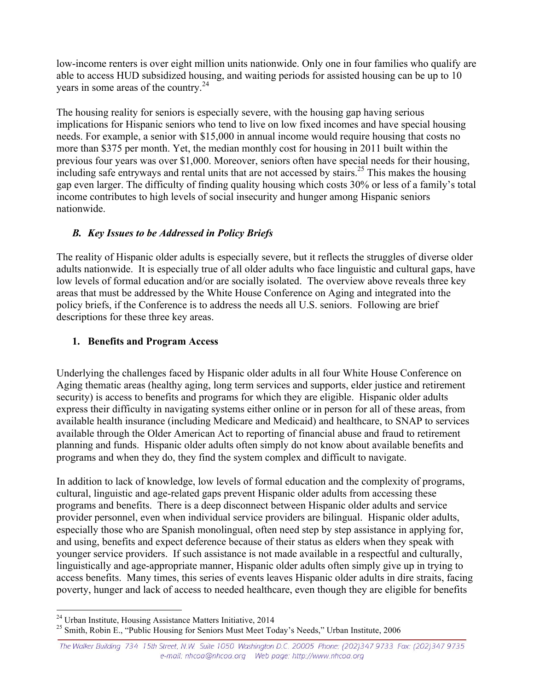low-income renters is over eight million units nationwide. Only one in four families who qualify are able to access HUD subsidized housing, and waiting periods for assisted housing can be up to 10 years in some areas of the country.<sup>24</sup>

The housing reality for seniors is especially severe, with the housing gap having serious implications for Hispanic seniors who tend to live on low fixed incomes and have special housing needs. For example, a senior with \$15,000 in annual income would require housing that costs no more than \$375 per month. Yet, the median monthly cost for housing in 2011 built within the previous four years was over \$1,000. Moreover, seniors often have special needs for their housing, including safe entryways and rental units that are not accessed by stairs.<sup>25</sup> This makes the housing gap even larger. The difficulty of finding quality housing which costs 30% or less of a family's total income contributes to high levels of social insecurity and hunger among Hispanic seniors nationwide.

#### *B. Key Issues to be Addressed in Policy Briefs*

The reality of Hispanic older adults is especially severe, but it reflects the struggles of diverse older adults nationwide. It is especially true of all older adults who face linguistic and cultural gaps, have low levels of formal education and/or are socially isolated. The overview above reveals three key areas that must be addressed by the White House Conference on Aging and integrated into the policy briefs, if the Conference is to address the needs all U.S. seniors. Following are brief descriptions for these three key areas.

#### **1. Benefits and Program Access**

Underlying the challenges faced by Hispanic older adults in all four White House Conference on Aging thematic areas (healthy aging, long term services and supports, elder justice and retirement security) is access to benefits and programs for which they are eligible. Hispanic older adults express their difficulty in navigating systems either online or in person for all of these areas, from available health insurance (including Medicare and Medicaid) and healthcare, to SNAP to services available through the Older American Act to reporting of financial abuse and fraud to retirement planning and funds. Hispanic older adults often simply do not know about available benefits and programs and when they do, they find the system complex and difficult to navigate.

In addition to lack of knowledge, low levels of formal education and the complexity of programs, cultural, linguistic and age-related gaps prevent Hispanic older adults from accessing these programs and benefits. There is a deep disconnect between Hispanic older adults and service provider personnel, even when individual service providers are bilingual. Hispanic older adults, especially those who are Spanish monolingual, often need step by step assistance in applying for, and using, benefits and expect deference because of their status as elders when they speak with younger service providers. If such assistance is not made available in a respectful and culturally, linguistically and age-appropriate manner, Hispanic older adults often simply give up in trying to access benefits. Many times, this series of events leaves Hispanic older adults in dire straits, facing poverty, hunger and lack of access to needed healthcare, even though they are eligible for benefits

<sup>&</sup>lt;sup>24</sup> Urban Institute, Housing Assistance Matters Initiative, 2014<br><sup>25</sup> Smith, Robin E., "Public Housing for Seniors Must Meet Today's Needs," Urban Institute, 2006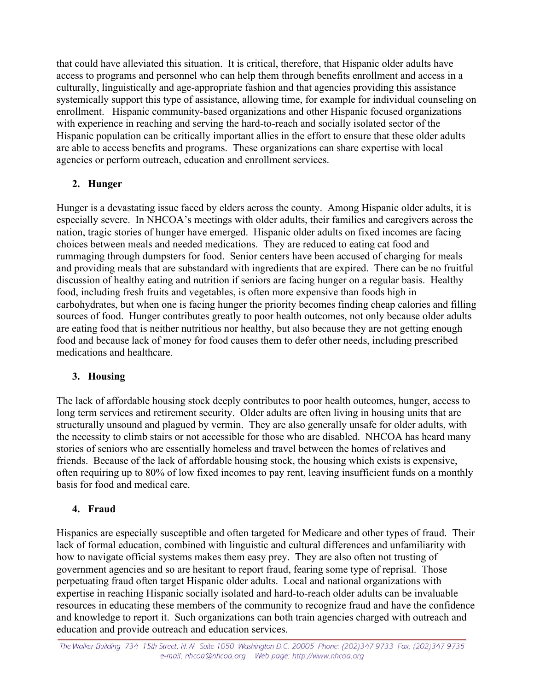that could have alleviated this situation. It is critical, therefore, that Hispanic older adults have access to programs and personnel who can help them through benefits enrollment and access in a culturally, linguistically and age-appropriate fashion and that agencies providing this assistance systemically support this type of assistance, allowing time, for example for individual counseling on enrollment. Hispanic community-based organizations and other Hispanic focused organizations with experience in reaching and serving the hard-to-reach and socially isolated sector of the Hispanic population can be critically important allies in the effort to ensure that these older adults are able to access benefits and programs. These organizations can share expertise with local agencies or perform outreach, education and enrollment services.

#### **2. Hunger**

Hunger is a devastating issue faced by elders across the county. Among Hispanic older adults, it is especially severe. In NHCOA's meetings with older adults, their families and caregivers across the nation, tragic stories of hunger have emerged. Hispanic older adults on fixed incomes are facing choices between meals and needed medications. They are reduced to eating cat food and rummaging through dumpsters for food. Senior centers have been accused of charging for meals and providing meals that are substandard with ingredients that are expired. There can be no fruitful discussion of healthy eating and nutrition if seniors are facing hunger on a regular basis. Healthy food, including fresh fruits and vegetables, is often more expensive than foods high in carbohydrates, but when one is facing hunger the priority becomes finding cheap calories and filling sources of food. Hunger contributes greatly to poor health outcomes, not only because older adults are eating food that is neither nutritious nor healthy, but also because they are not getting enough food and because lack of money for food causes them to defer other needs, including prescribed medications and healthcare.

#### **3. Housing**

The lack of affordable housing stock deeply contributes to poor health outcomes, hunger, access to long term services and retirement security. Older adults are often living in housing units that are structurally unsound and plagued by vermin. They are also generally unsafe for older adults, with the necessity to climb stairs or not accessible for those who are disabled. NHCOA has heard many stories of seniors who are essentially homeless and travel between the homes of relatives and friends. Because of the lack of affordable housing stock, the housing which exists is expensive, often requiring up to 80% of low fixed incomes to pay rent, leaving insufficient funds on a monthly basis for food and medical care.

#### **4. Fraud**

Hispanics are especially susceptible and often targeted for Medicare and other types of fraud. Their lack of formal education, combined with linguistic and cultural differences and unfamiliarity with how to navigate official systems makes them easy prey. They are also often not trusting of government agencies and so are hesitant to report fraud, fearing some type of reprisal. Those perpetuating fraud often target Hispanic older adults. Local and national organizations with expertise in reaching Hispanic socially isolated and hard-to-reach older adults can be invaluable resources in educating these members of the community to recognize fraud and have the confidence and knowledge to report it. Such organizations can both train agencies charged with outreach and education and provide outreach and education services.